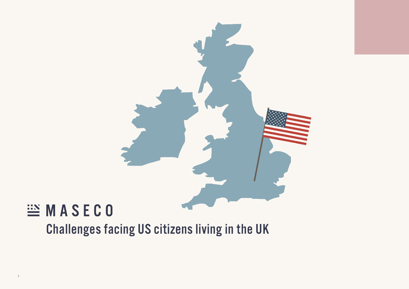

## EMASECO

1

Challenges facing US citizens living in the UK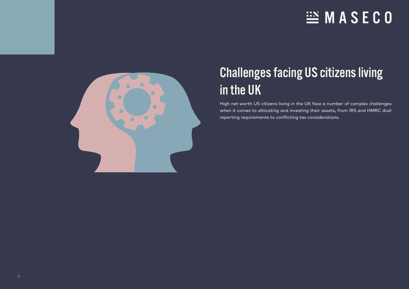## **EX MASECO**



### Challenges facing US citizens living in the UK

High net worth US citizens living in the UK face a number of complex challenges when it comes to allocating and investing their assets, from IRS and HMRC dual reporting requirements to conflicting tax considerations.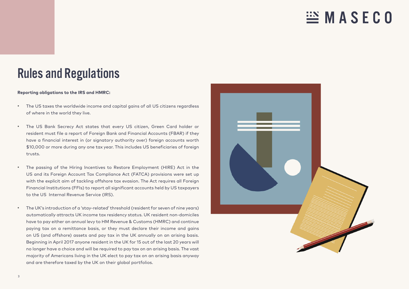### $\stackrel{.}{=}\mathbb{M}$  A S E C O

### Rules and Regulations

#### **Reporting obligations to the IRS and HMRC:**

- The US taxes the worldwide income and capital gains of all US citizens regardless of where in the world they live.
- The US Bank Secrecy Act states that every US citizen, Green Card holder or resident must file a report of Foreign Bank and Financial Accounts (FBAR) if they have a financial interest in (or signatory authority over) foreign accounts worth \$10,000 or more during any one tax year. This includes US beneficiaries of foreign trusts.
- The passing of the Hiring Incentives to Restore Employment (HIRE) Act in the US and its Foreign Account Tax Compliance Act (FATCA) provisions were set up with the explicit aim of tackling offshore tax evasion. The Act requires all Foreign Financial Institutions (FFIs) to report all significant accounts held by US taxpayers to the US Internal Revenue Service (IRS).
- The UK's introduction of a 'stay-related' threshold (resident for seven of nine years) automatically attracts UK income tax residency status. UK resident non-domiciles have to pay either an annual levy to HM Revenue & Customs (HMRC) and continue paying tax on a remittance basis, or they must declare their income and gains on US (and offshore) assets and pay tax in the UK annually on an arising basis. Beginning in April 2017 anyone resident in the UK for 15 out of the last 20 years will no longer have a choice and will be required to pay tax on an arising basis. The vast majority of Americans living in the UK elect to pay tax on an arising basis anyway and are therefore taxed by the UK on their global portfolios.

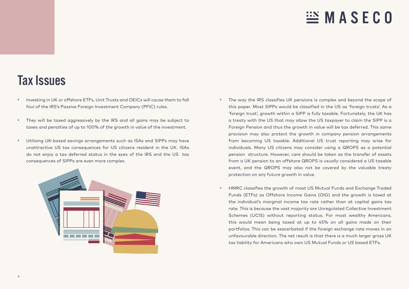# $\stackrel{...}{=}$  MASECO

### Tax Issues

- Investing in UK or offshore ETFs, Unit Trusts and OEICs will cause them to fall foul of the IRS's Passive Foreign Investment Company (PFIC) rules.
- They will be taxed aggressively by the IRS and all gains may be subject to taxes and penalties of up to 100% of the growth in value of the investment.
- Utilising UK-based savings arrangements such as ISAs and SIPPs may have unattractive US tax consequences for US citizens resident in the UK. ISAs do not enjoy a tax deferred status in the eyes of the IRS and the US tax consequences of SIPPs are even more complex.



- The way the IRS classifies UK pensions is complex and beyond the scope of this paper. Most SIPPs would be classified in the US as 'foreign trusts'. As a 'foreign trust', growth within a SIPP is fully taxable. Fortunately, the UK has a treaty with the US that may allow the US taxpayer to claim the SIPP is a Foreign Pension and thus the growth in value will be tax deferred. This same provision may also protect the growth in company pension arrangements from becoming US taxable. Additional US trust reporting may arise for individuals. Many US citizens may consider using a QROPS as a potential pension structure. However, care should be taken as the transfer of assets from a UK pension to an offshore QROPS is usually considered a US taxable event, and the QROPS may also not be covered by the valuable treaty protection on any future growth in value.
- HMRC classifies the growth of most US Mutual Funds and Exchange Traded Funds (ETFs) as Offshore Income Gains (OIG) and the growth is taxed at the individual's marginal income tax rate rather than at capital gains tax rate. This is because the vast majority are Unregulated Collective Investment Schemes (UCIS) without reporting status. For most wealthy Americans, this would mean being taxed at up to 45% on all gains made on their portfolios. This can be exacerbated if the foreign exchange rate moves in an unfavourable direction. The net result is that there is a much larger gross UK tax liability for Americans who own US Mutual Funds or US based ETFs.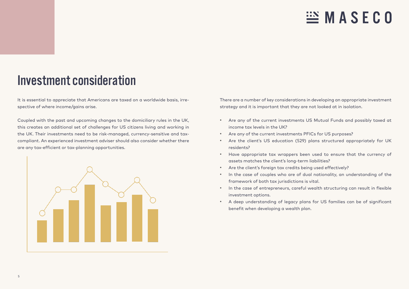## $\mathbb{H}$  MASECO

#### Investment consideration

It is essential to appreciate that Americans are taxed on a worldwide basis, irrespective of where income/gains arise.

Coupled with the past and upcoming changes to the domiciliary rules in the UK, this creates an additional set of challenges for US citizens living and working in the UK. Their investments need to be risk-managed, currency-sensitive and taxcompliant. An experienced investment adviser should also consider whether there are any tax-efficient or tax-planning opportunities.



There are a number of key considerations in developing an appropriate investment strategy and it is important that they are not looked at in isolation.

- Are any of the current investments US Mutual Funds and possibly taxed at income tax levels in the UK?
- Are any of the current investments PFICs for US purposes?
- Are the client's US education (529) plans structured appropriately for UK residents?
- Have appropriate tax wrappers been used to ensure that the currency of assets matches the client's long-term liabilities?
- Are the client's foreign tax credits being used effectively?
- In the case of couples who are of dual nationality, an understanding of the framework of both tax jurisdictions is vital.
- In the case of entrepreneurs, careful wealth structuring can result in flexible investment options.
- A deep understanding of legacy plans for US families can be of significant benefit when developing a wealth plan.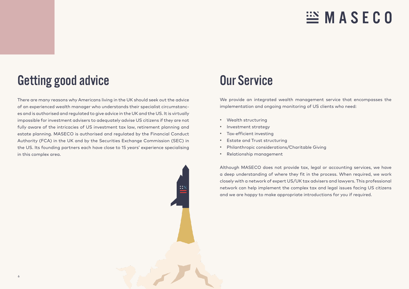## $\mathbb{H}$  MASECO

### Getting good advice

There are many reasons why Americans living in the UK should seek out the advice of an experienced wealth manager who understands their specialist circumstances and is authorised and regulated to give advice in the UK and the US. It is virtually impossible for investment advisers to adequately advise US citizens if they are not fully aware of the intricacies of US investment tax law, retirement planning and estate planning. MASECO is authorised and regulated by the Financial Conduct Authority (FCA) in the UK and by the Securities Exchange Commission (SEC) in the US. Its founding partners each have close to 15 years' experience specialising in this complex area.

### Our Service

We provide an integrated wealth management service that encompasses the implementation and ongoing monitoring of US clients who need:

- Wealth structuring
- Investment strategy
- Tax-efficient investing
- Estate and Trust structuring
- Philanthropic considerations/Charitable Giving
- Relationship management

Although MASECO does not provide tax, legal or accounting services, we have a deep understanding of where they fit in the process. When required, we work closely with a network of expert US/UK tax advisers and lawyers. This professional network can help implement the complex tax and legal issues facing US citizens and we are happy to make appropriate introductions for you if required.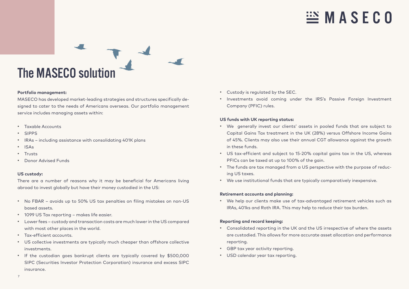## $\mathbb{E}$  MASEC0



#### **Portfolio management:**

MASECO has developed market-leading strategies and structures specifically designed to cater to the needs of Americans overseas. Our portfolio management service includes managing assets within:

- Taxable Accounts
- SIPPS
- IRAs including assistance with consolidating 401K plans
- ISAs
- Trusts
- Donor Advised Funds

#### **US custody:**

There are a number of reasons why it may be beneficial for Americans living abroad to invest globally but have their money custodied in the US:

- No FBAR avoids up to 50% US tax penalties on filing mistakes on non-US based assets.
- 1099 US Tax reporting makes life easier.
- Lower fees custody and transaction costs are much lower in the US compared with most other places in the world.
- Tax-efficient accounts.
- US collective investments are typically much cheaper than offshore collective investments.
- If the custodian goes bankrupt clients are typically covered by \$500,000 SIPC (Securities Investor Protection Corporation) insurance and excess SIPC insurance.
- Custody is regulated by the SEC.
- Investments avoid coming under the IRS's Passive Foreign Investment Company (PFIC) rules.

#### **US funds with UK reporting status:**

- We generally invest our clients' assets in pooled funds that are subject to Capital Gains Tax treatment in the UK (28%) versus Offshore Income Gains of 45%. Clients may also use their annual CGT allowance against the growth in these funds.
- US tax-efficient and subject to 15-20% capital gains tax in the US, whereas PFICs can be taxed at up to 100% of the gain.
- The funds are tax managed from a US perspective with the purpose of reducing US taxes.
- We use institutional funds that are typically comparatively inexpensive.

#### **Retirement accounts and planning:**

• We help our clients make use of tax-advantaged retirement vehicles such as IRAs, 401ks and Roth IRA. This may help to reduce their tax burden.

#### **Reporting and record keeping:**

- Consolidated reporting in the UK and the US irrespective of where the assets are custodied. This allows for more accurate asset allocation and performance reporting.
- GBP tax year activity reporting.
- USD calendar year tax reporting.